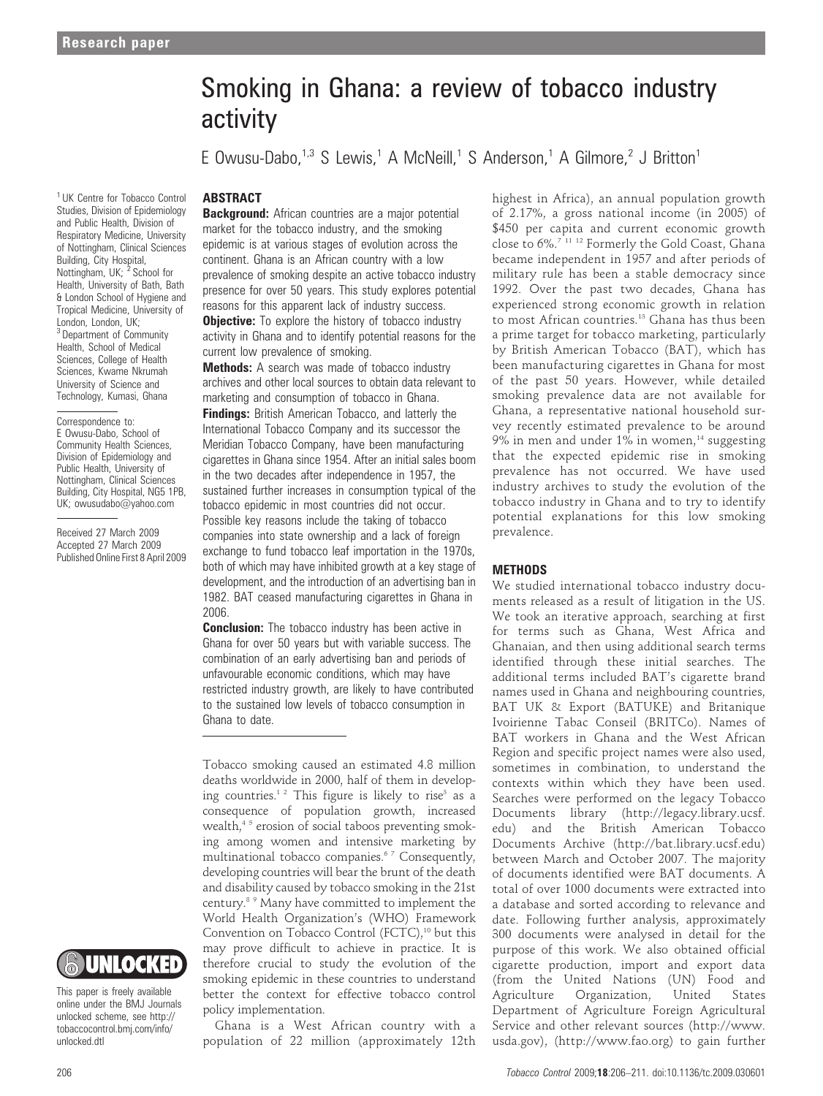<sup>1</sup> UK Centre for Tobacco Control Studies, Division of Epidemiology and Public Health, Division of Respiratory Medicine, University of Nottingham, Clinical Sciences Building, City Hospital, Nottingham, UK; <sup>2</sup> School for Health, University of Bath, Bath & London School of Hygiene and Tropical Medicine, University of London, London, UK; <sup>3</sup> Department of Community Health, School of Medical Sciences, College of Health Sciences, Kwame Nkrumah University of Science and Technology, Kumasi, Ghana

Received 27 March 2009 Accepted 27 March 2009 Published Online First 8 April 2009



This paper is freely available online under the BMJ Journals unlocked scheme, see http:// tobaccocontrol.bmj.com/info/ unlocked.dtl

# Smoking in Ghana: a review of tobacco industry activity

E Owusu-Dabo,<sup>1,3</sup> S Lewis,<sup>1</sup> A McNeill,<sup>1</sup> S Anderson,<sup>1</sup> A Gilmore,<sup>2</sup> J Britton<sup>1</sup>

# ABSTRACT

**Background:** African countries are a major potential market for the tobacco industry, and the smoking epidemic is at various stages of evolution across the continent. Ghana is an African country with a low prevalence of smoking despite an active tobacco industry presence for over 50 years. This study explores potential reasons for this apparent lack of industry success.

**Objective:** To explore the history of tobacco industry activity in Ghana and to identify potential reasons for the current low prevalence of smoking.

**Methods:** A search was made of tobacco industry archives and other local sources to obtain data relevant to marketing and consumption of tobacco in Ghana.

**Findings:** British American Tobacco, and latterly the International Tobacco Company and its successor the Meridian Tobacco Company, have been manufacturing cigarettes in Ghana since 1954. After an initial sales boom in the two decades after independence in 1957, the sustained further increases in consumption typical of the tobacco epidemic in most countries did not occur. Possible key reasons include the taking of tobacco companies into state ownership and a lack of foreign exchange to fund tobacco leaf importation in the 1970s, both of which may have inhibited growth at a key stage of development, and the introduction of an advertising ban in 1982. BAT ceased manufacturing cigarettes in Ghana in 2006.

**Conclusion:** The tobacco industry has been active in Ghana for over 50 years but with variable success. The combination of an early advertising ban and periods of unfavourable economic conditions, which may have restricted industry growth, are likely to have contributed to the sustained low levels of tobacco consumption in Ghana to date.

Tobacco smoking caused an estimated 4.8 million deaths worldwide in 2000, half of them in developing countries.<sup>12</sup> This figure is likely to rise<sup>3</sup> as a consequence of population growth, increased wealth,<sup>45</sup> erosion of social taboos preventing smoking among women and intensive marketing by multinational tobacco companies.<sup>67</sup> Consequently, developing countries will bear the brunt of the death and disability caused by tobacco smoking in the 21st century.8 9 Many have committed to implement the World Health Organization's (WHO) Framework Convention on Tobacco Control (FCTC),<sup>10</sup> but this may prove difficult to achieve in practice. It is therefore crucial to study the evolution of the smoking epidemic in these countries to understand better the context for effective tobacco control policy implementation.

Ghana is a West African country with a population of 22 million (approximately 12th highest in Africa), an annual population growth of 2.17%, a gross national income (in 2005) of \$450 per capita and current economic growth close to 6%.7 11 12 Formerly the Gold Coast, Ghana became independent in 1957 and after periods of military rule has been a stable democracy since 1992. Over the past two decades, Ghana has experienced strong economic growth in relation to most African countries.13 Ghana has thus been a prime target for tobacco marketing, particularly by British American Tobacco (BAT), which has been manufacturing cigarettes in Ghana for most of the past 50 years. However, while detailed smoking prevalence data are not available for Ghana, a representative national household survey recently estimated prevalence to be around  $9\%$  in men and under  $1\%$  in women,<sup>14</sup> suggesting that the expected epidemic rise in smoking prevalence has not occurred. We have used industry archives to study the evolution of the tobacco industry in Ghana and to try to identify potential explanations for this low smoking prevalence.

### **METHODS**

We studied international tobacco industry documents released as a result of litigation in the US. We took an iterative approach, searching at first for terms such as Ghana, West Africa and Ghanaian, and then using additional search terms identified through these initial searches. The additional terms included BAT's cigarette brand names used in Ghana and neighbouring countries, BAT UK & Export (BATUKE) and Britanique Ivoirienne Tabac Conseil (BRITCo). Names of BAT workers in Ghana and the West African Region and specific project names were also used, sometimes in combination, to understand the contexts within which they have been used. Searches were performed on the legacy Tobacco Documents library (http://legacy.library.ucsf. edu) and the British American Tobacco Documents Archive (http://bat.library.ucsf.edu) between March and October 2007. The majority of documents identified were BAT documents. A total of over 1000 documents were extracted into a database and sorted according to relevance and date. Following further analysis, approximately 300 documents were analysed in detail for the purpose of this work. We also obtained official cigarette production, import and export data (from the United Nations (UN) Food and Agriculture Organization, United States Department of Agriculture Foreign Agricultural Service and other relevant sources (http://www. usda.gov), (http://www.fao.org) to gain further

Correspondence to: E Owusu-Dabo, School of Community Health Sciences, Division of Epidemiology and Public Health, University of Nottingham, Clinical Sciences Building, City Hospital, NG5 1PB, UK; owusudabo@yahoo.com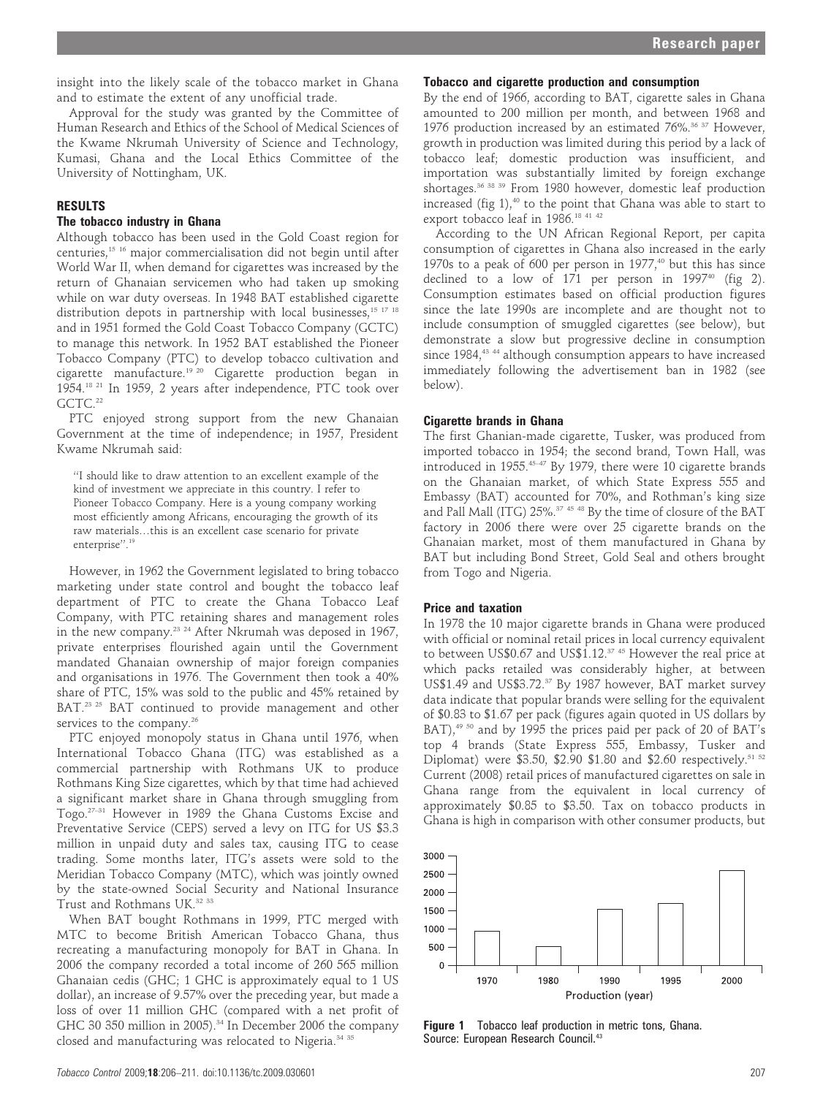insight into the likely scale of the tobacco market in Ghana and to estimate the extent of any unofficial trade.

Approval for the study was granted by the Committee of Human Research and Ethics of the School of Medical Sciences of the Kwame Nkrumah University of Science and Technology, Kumasi, Ghana and the Local Ethics Committee of the University of Nottingham, UK.

#### RESULTS

#### The tobacco industry in Ghana

Although tobacco has been used in the Gold Coast region for centuries,15 16 major commercialisation did not begin until after World War II, when demand for cigarettes was increased by the return of Ghanaian servicemen who had taken up smoking while on war duty overseas. In 1948 BAT established cigarette distribution depots in partnership with local businesses,<sup>15 17 18</sup> and in 1951 formed the Gold Coast Tobacco Company (GCTC) to manage this network. In 1952 BAT established the Pioneer Tobacco Company (PTC) to develop tobacco cultivation and cigarette manufacture.19 20 Cigarette production began in 1954.18 21 In 1959, 2 years after independence, PTC took over GCTC.<sup>22</sup>

PTC enjoyed strong support from the new Ghanaian Government at the time of independence; in 1957, President Kwame Nkrumah said:

''I should like to draw attention to an excellent example of the kind of investment we appreciate in this country. I refer to Pioneer Tobacco Company. Here is a young company working most efficiently among Africans, encouraging the growth of its raw materials…this is an excellent case scenario for private enterprise''.<sup>19</sup>

However, in 1962 the Government legislated to bring tobacco marketing under state control and bought the tobacco leaf department of PTC to create the Ghana Tobacco Leaf Company, with PTC retaining shares and management roles in the new company.23 24 After Nkrumah was deposed in 1967, private enterprises flourished again until the Government mandated Ghanaian ownership of major foreign companies and organisations in 1976. The Government then took a 40% share of PTC, 15% was sold to the public and 45% retained by BAT.<sup>23 25</sup> BAT continued to provide management and other services to the company.<sup>26</sup>

PTC enjoyed monopoly status in Ghana until 1976, when International Tobacco Ghana (ITG) was established as a commercial partnership with Rothmans UK to produce Rothmans King Size cigarettes, which by that time had achieved a significant market share in Ghana through smuggling from Togo.27–31 However in 1989 the Ghana Customs Excise and Preventative Service (CEPS) served a levy on ITG for US \$3.3 million in unpaid duty and sales tax, causing ITG to cease trading. Some months later, ITG's assets were sold to the Meridian Tobacco Company (MTC), which was jointly owned by the state-owned Social Security and National Insurance Trust and Rothmans UK.32 33

When BAT bought Rothmans in 1999, PTC merged with MTC to become British American Tobacco Ghana, thus recreating a manufacturing monopoly for BAT in Ghana. In 2006 the company recorded a total income of 260 565 million Ghanaian cedis (GHC; 1 GHC is approximately equal to 1 US dollar), an increase of 9.57% over the preceding year, but made a loss of over 11 million GHC (compared with a net profit of GHC 30 350 million in 2005).<sup>34</sup> In December 2006 the company closed and manufacturing was relocated to Nigeria.<sup>34 35</sup>

#### Tobacco and cigarette production and consumption

By the end of 1966, according to BAT, cigarette sales in Ghana amounted to 200 million per month, and between 1968 and 1976 production increased by an estimated 76%.<sup>36 37</sup> However, growth in production was limited during this period by a lack of tobacco leaf; domestic production was insufficient, and importation was substantially limited by foreign exchange shortages.36 38 39 From 1980 however, domestic leaf production increased (fig 1), $40$  to the point that Ghana was able to start to export tobacco leaf in 1986.<sup>18 41 42</sup>

According to the UN African Regional Report, per capita consumption of cigarettes in Ghana also increased in the early 1970s to a peak of 600 per person in 1977, $40$  but this has since declined to a low of  $171$  per person in  $1997^{40}$  (fig 2). Consumption estimates based on official production figures since the late 1990s are incomplete and are thought not to include consumption of smuggled cigarettes (see below), but demonstrate a slow but progressive decline in consumption since 1984,<sup>43</sup> <sup>44</sup> although consumption appears to have increased immediately following the advertisement ban in 1982 (see below).

### Cigarette brands in Ghana

The first Ghanian-made cigarette, Tusker, was produced from imported tobacco in 1954; the second brand, Town Hall, was introduced in 1955.45–47 By 1979, there were 10 cigarette brands on the Ghanaian market, of which State Express 555 and Embassy (BAT) accounted for 70%, and Rothman's king size and Pall Mall (ITG) 25%.<sup>37 45 48</sup> By the time of closure of the BAT factory in 2006 there were over 25 cigarette brands on the Ghanaian market, most of them manufactured in Ghana by BAT but including Bond Street, Gold Seal and others brought from Togo and Nigeria.

#### Price and taxation

In 1978 the 10 major cigarette brands in Ghana were produced with official or nominal retail prices in local currency equivalent to between US\$0.67 and US\$1.12.37 45 However the real price at which packs retailed was considerably higher, at between US\$1.49 and US\$3.72.37 By 1987 however, BAT market survey data indicate that popular brands were selling for the equivalent of \$0.83 to \$1.67 per pack (figures again quoted in US dollars by BAT),<sup>49 50</sup> and by 1995 the prices paid per pack of 20 of BAT's top 4 brands (State Express 555, Embassy, Tusker and Diplomat) were \$3.50, \$2.90 \$1.80 and \$2.60 respectively.<sup>51 52</sup> Current (2008) retail prices of manufactured cigarettes on sale in Ghana range from the equivalent in local currency of approximately \$0.85 to \$3.50. Tax on tobacco products in Ghana is high in comparison with other consumer products, but



Figure 1 Tobacco leaf production in metric tons, Ghana. Source: European Research Council.<sup>43</sup>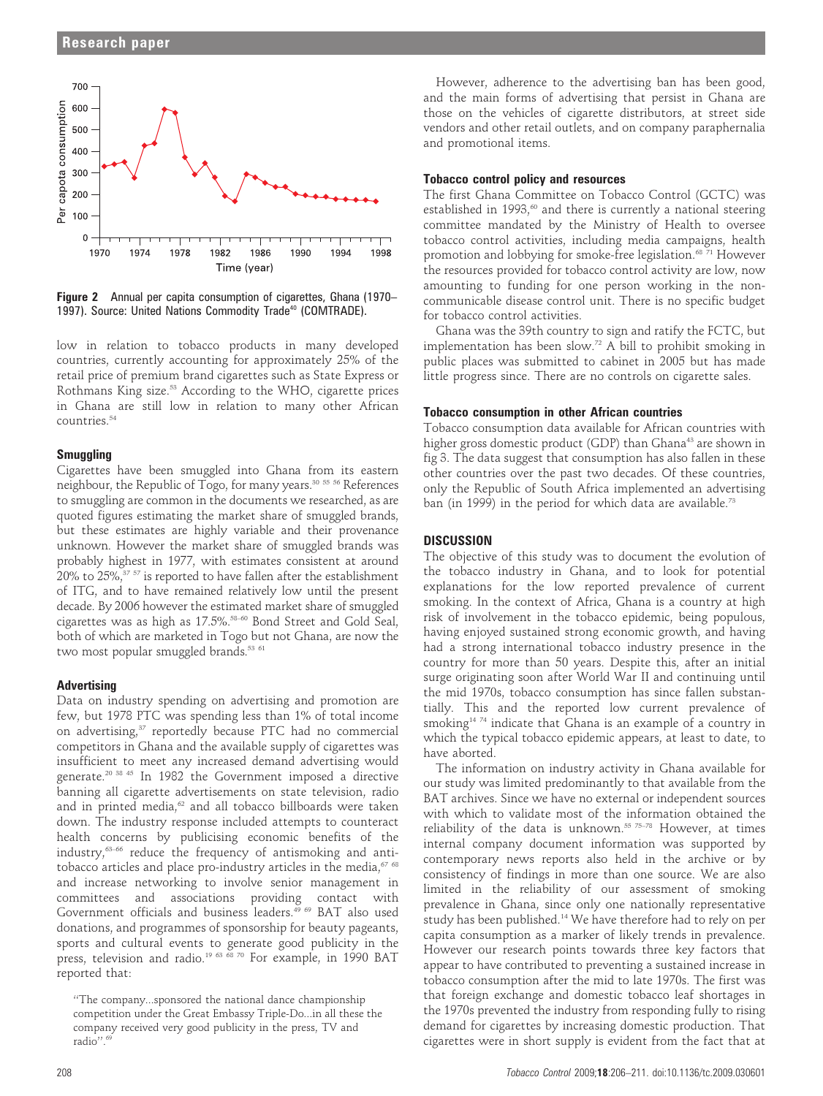

Figure 2 Annual per capita consumption of cigarettes, Ghana (1970– 1997). Source: United Nations Commodity Trade<sup>40</sup> (COMTRADE).

low in relation to tobacco products in many developed countries, currently accounting for approximately 25% of the retail price of premium brand cigarettes such as State Express or Rothmans King size.<sup>53</sup> According to the WHO, cigarette prices in Ghana are still low in relation to many other African countries.54

# Smuggling

Cigarettes have been smuggled into Ghana from its eastern neighbour, the Republic of Togo, for many years.30 55 56 References to smuggling are common in the documents we researched, as are quoted figures estimating the market share of smuggled brands, but these estimates are highly variable and their provenance unknown. However the market share of smuggled brands was probably highest in 1977, with estimates consistent at around  $20\%$  to  $25\%$ ,<sup>37 57</sup> is reported to have fallen after the establishment of ITG, and to have remained relatively low until the present decade. By 2006 however the estimated market share of smuggled cigarettes was as high as 17.5%.<sup>58-60</sup> Bond Street and Gold Seal, both of which are marketed in Togo but not Ghana, are now the two most popular smuggled brands.<sup>53 61</sup>

### Advertising

Data on industry spending on advertising and promotion are few, but 1978 PTC was spending less than 1% of total income on advertising,<sup>37</sup> reportedly because PTC had no commercial competitors in Ghana and the available supply of cigarettes was insufficient to meet any increased demand advertising would generate.20 38 45 In 1982 the Government imposed a directive banning all cigarette advertisements on state television, radio and in printed media, $62$  and all tobacco billboards were taken down. The industry response included attempts to counteract health concerns by publicising economic benefits of the industry,63–66 reduce the frequency of antismoking and antitobacco articles and place pro-industry articles in the media, $6768$ and increase networking to involve senior management in committees and associations providing contact with Government officials and business leaders.49 69 BAT also used donations, and programmes of sponsorship for beauty pageants, sports and cultural events to generate good publicity in the press, television and radio.<sup>19 63 68 70</sup> For example, in 1990 BAT reported that:

However, adherence to the advertising ban has been good, and the main forms of advertising that persist in Ghana are those on the vehicles of cigarette distributors, at street side vendors and other retail outlets, and on company paraphernalia and promotional items.

# Tobacco control policy and resources

The first Ghana Committee on Tobacco Control (GCTC) was established in 1993, $60$  and there is currently a national steering committee mandated by the Ministry of Health to oversee tobacco control activities, including media campaigns, health promotion and lobbying for smoke-free legislation.<sup>68 71</sup> However the resources provided for tobacco control activity are low, now amounting to funding for one person working in the noncommunicable disease control unit. There is no specific budget for tobacco control activities.

Ghana was the 39th country to sign and ratify the FCTC, but implementation has been slow.72 A bill to prohibit smoking in public places was submitted to cabinet in 2005 but has made little progress since. There are no controls on cigarette sales.

# Tobacco consumption in other African countries

Tobacco consumption data available for African countries with higher gross domestic product (GDP) than Ghana<sup>43</sup> are shown in fig 3. The data suggest that consumption has also fallen in these other countries over the past two decades. Of these countries, only the Republic of South Africa implemented an advertising ban (in 1999) in the period for which data are available.<sup>73</sup>

### **DISCUSSION**

The objective of this study was to document the evolution of the tobacco industry in Ghana, and to look for potential explanations for the low reported prevalence of current smoking. In the context of Africa, Ghana is a country at high risk of involvement in the tobacco epidemic, being populous, having enjoyed sustained strong economic growth, and having had a strong international tobacco industry presence in the country for more than 50 years. Despite this, after an initial surge originating soon after World War II and continuing until the mid 1970s, tobacco consumption has since fallen substantially. This and the reported low current prevalence of smoking<sup>14 74</sup> indicate that Ghana is an example of a country in which the typical tobacco epidemic appears, at least to date, to have aborted.

The information on industry activity in Ghana available for our study was limited predominantly to that available from the BAT archives. Since we have no external or independent sources with which to validate most of the information obtained the reliability of the data is unknown.<sup>55 75-78</sup> However, at times internal company document information was supported by contemporary news reports also held in the archive or by consistency of findings in more than one source. We are also limited in the reliability of our assessment of smoking prevalence in Ghana, since only one nationally representative study has been published.14 We have therefore had to rely on per capita consumption as a marker of likely trends in prevalence. However our research points towards three key factors that appear to have contributed to preventing a sustained increase in tobacco consumption after the mid to late 1970s. The first was that foreign exchange and domestic tobacco leaf shortages in the 1970s prevented the industry from responding fully to rising demand for cigarettes by increasing domestic production. That cigarettes were in short supply is evident from the fact that at

<sup>&#</sup>x27;'The company...sponsored the national dance championship competition under the Great Embassy Triple-Do...in all these the company received very good publicity in the press, TV and radio''.69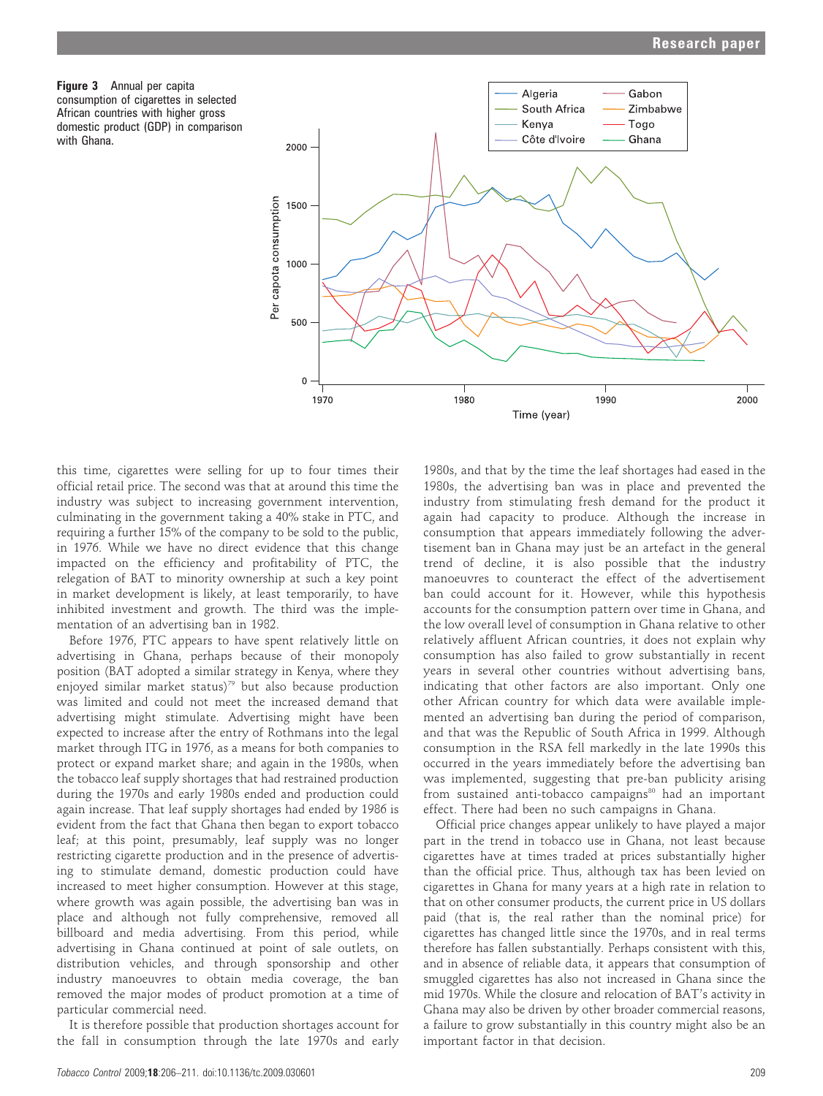



this time, cigarettes were selling for up to four times their official retail price. The second was that at around this time the industry was subject to increasing government intervention, culminating in the government taking a 40% stake in PTC, and requiring a further 15% of the company to be sold to the public, in 1976. While we have no direct evidence that this change impacted on the efficiency and profitability of PTC, the relegation of BAT to minority ownership at such a key point in market development is likely, at least temporarily, to have inhibited investment and growth. The third was the implementation of an advertising ban in 1982.

Before 1976, PTC appears to have spent relatively little on advertising in Ghana, perhaps because of their monopoly position (BAT adopted a similar strategy in Kenya, where they enjoyed similar market status)<sup>79</sup> but also because production was limited and could not meet the increased demand that advertising might stimulate. Advertising might have been expected to increase after the entry of Rothmans into the legal market through ITG in 1976, as a means for both companies to protect or expand market share; and again in the 1980s, when the tobacco leaf supply shortages that had restrained production during the 1970s and early 1980s ended and production could again increase. That leaf supply shortages had ended by 1986 is evident from the fact that Ghana then began to export tobacco leaf; at this point, presumably, leaf supply was no longer restricting cigarette production and in the presence of advertising to stimulate demand, domestic production could have increased to meet higher consumption. However at this stage, where growth was again possible, the advertising ban was in place and although not fully comprehensive, removed all billboard and media advertising. From this period, while advertising in Ghana continued at point of sale outlets, on distribution vehicles, and through sponsorship and other industry manoeuvres to obtain media coverage, the ban removed the major modes of product promotion at a time of particular commercial need.

It is therefore possible that production shortages account for the fall in consumption through the late 1970s and early

Tobacco Control 2009;18:206–211. doi:10.1136/tc.2009.030601 209

1980s, and that by the time the leaf shortages had eased in the 1980s, the advertising ban was in place and prevented the industry from stimulating fresh demand for the product it again had capacity to produce. Although the increase in consumption that appears immediately following the advertisement ban in Ghana may just be an artefact in the general trend of decline, it is also possible that the industry manoeuvres to counteract the effect of the advertisement ban could account for it. However, while this hypothesis accounts for the consumption pattern over time in Ghana, and the low overall level of consumption in Ghana relative to other relatively affluent African countries, it does not explain why consumption has also failed to grow substantially in recent years in several other countries without advertising bans, indicating that other factors are also important. Only one other African country for which data were available implemented an advertising ban during the period of comparison, and that was the Republic of South Africa in 1999. Although consumption in the RSA fell markedly in the late 1990s this occurred in the years immediately before the advertising ban was implemented, suggesting that pre-ban publicity arising from sustained anti-tobacco campaigns $80$  had an important effect. There had been no such campaigns in Ghana.

Official price changes appear unlikely to have played a major part in the trend in tobacco use in Ghana, not least because cigarettes have at times traded at prices substantially higher than the official price. Thus, although tax has been levied on cigarettes in Ghana for many years at a high rate in relation to that on other consumer products, the current price in US dollars paid (that is, the real rather than the nominal price) for cigarettes has changed little since the 1970s, and in real terms therefore has fallen substantially. Perhaps consistent with this, and in absence of reliable data, it appears that consumption of smuggled cigarettes has also not increased in Ghana since the mid 1970s. While the closure and relocation of BAT's activity in Ghana may also be driven by other broader commercial reasons, a failure to grow substantially in this country might also be an important factor in that decision.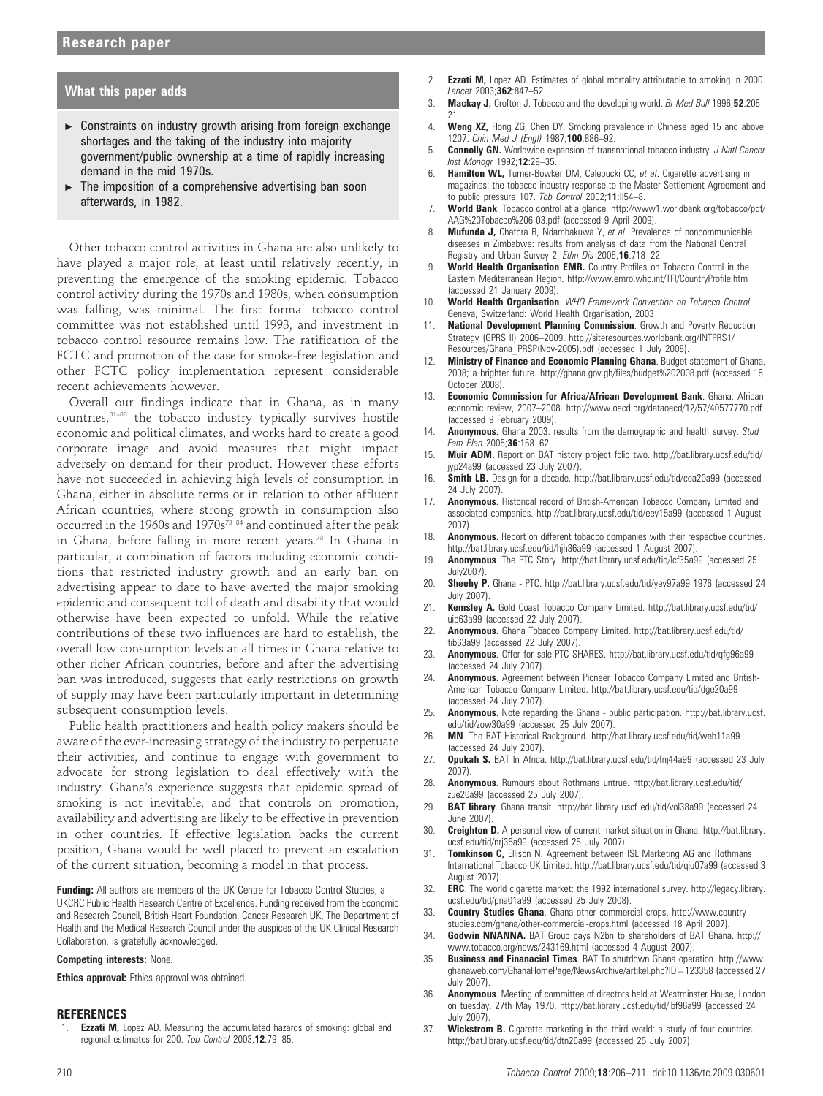# What this paper adds

- $\triangleright$  Constraints on industry growth arising from foreign exchange shortages and the taking of the industry into majority government/public ownership at a time of rapidly increasing demand in the mid 1970s.
- The imposition of a comprehensive advertising ban soon afterwards, in 1982.

Other tobacco control activities in Ghana are also unlikely to have played a major role, at least until relatively recently, in preventing the emergence of the smoking epidemic. Tobacco control activity during the 1970s and 1980s, when consumption was falling, was minimal. The first formal tobacco control committee was not established until 1993, and investment in tobacco control resource remains low. The ratification of the FCTC and promotion of the case for smoke-free legislation and other FCTC policy implementation represent considerable recent achievements however.

Overall our findings indicate that in Ghana, as in many countries,81–83 the tobacco industry typically survives hostile economic and political climates, and works hard to create a good corporate image and avoid measures that might impact adversely on demand for their product. However these efforts have not succeeded in achieving high levels of consumption in Ghana, either in absolute terms or in relation to other affluent African countries, where strong growth in consumption also occurred in the 1960s and 1970s<sup>73 84</sup> and continued after the peak in Ghana, before falling in more recent years.73 In Ghana in particular, a combination of factors including economic conditions that restricted industry growth and an early ban on advertising appear to date to have averted the major smoking epidemic and consequent toll of death and disability that would otherwise have been expected to unfold. While the relative contributions of these two influences are hard to establish, the overall low consumption levels at all times in Ghana relative to other richer African countries, before and after the advertising ban was introduced, suggests that early restrictions on growth of supply may have been particularly important in determining subsequent consumption levels.

Public health practitioners and health policy makers should be aware of the ever-increasing strategy of the industry to perpetuate their activities, and continue to engage with government to advocate for strong legislation to deal effectively with the industry. Ghana's experience suggests that epidemic spread of smoking is not inevitable, and that controls on promotion, availability and advertising are likely to be effective in prevention in other countries. If effective legislation backs the current position, Ghana would be well placed to prevent an escalation of the current situation, becoming a model in that process.

Funding: All authors are members of the UK Centre for Tobacco Control Studies, a UKCRC Public Health Research Centre of Excellence. Funding received from the Economic and Research Council, British Heart Foundation, Cancer Research UK, The Department of Health and the Medical Research Council under the auspices of the UK Clinical Research Collaboration, is gratefully acknowledged.

#### Competing interests: None.

Ethics approval: Ethics approval was obtained.

#### **REFERENCES**

1. **Ezzati M,** Lopez AD. Measuring the accumulated hazards of smoking: global and regional estimates for 200. Tob Control 2003;12:79–85.

- 2. **Ezzati M,** Lopez AD. Estimates of global mortality attributable to smoking in 2000. Lancet 2003;**362**:847-52.
- 3. Mackay J, Crofton J. Tobacco and the developing world. Br Med Bull 1996;52:206– 21.
- 4. Weng XZ, Hong ZG, Chen DY. Smoking prevalence in Chinese aged 15 and above 1207. Chin Med J (Engl) 1987;100:886-92.
- **Connolly GN.** Worldwide expansion of transnational tobacco industry. J Natl Cancer Inst Monogr 1992;12:29-35
- 6. **Hamilton WL,** Turner-Bowker DM, Celebucki CC, et al. Cigarette advertising in magazines: the tobacco industry response to the Master Settlement Agreement and to public pressure 107. Tob Control 2002;11:II54-8.
- 7. World Bank. Tobacco control at a glance. http://www1.worldbank.org/tobacco/pdf/ AAG%20Tobacco%206-03.pdf (accessed 9 April 2009).
- 8. Mufunda J, Chatora R, Ndambakuwa Y, et al. Prevalence of noncommunicable diseases in Zimbabwe: results from analysis of data from the National Central Registry and Urban Survey 2. Ethn Dis 2006;16:718–22.
- 9. World Health Organisation EMR. Country Profiles on Tobacco Control in the Eastern Mediterranean Region. http://www.emro.who.int/TFI/CountryProfile.htm (accessed 21 January 2009).
- World Health Organisation. WHO Framework Convention on Tobacco Control. Geneva, Switzerland: World Health Organisation, 2003
- 11. National Development Planning Commission. Growth and Poverty Reduction Strategy (GPRS II) 2006–2009. http://siteresources.worldbank.org/INTPRS1/ Resources/Ghana\_PRSP(Nov-2005).pdf (accessed 1 July 2008).
- 12. Ministry of Finance and Economic Planning Ghana. Budget statement of Ghana, 2008; a brighter future. http://ghana.gov.gh/files/budget%202008.pdf (accessed 16 October 2008).
- 13. Economic Commission for Africa/African Development Bank. Ghana; African economic review, 2007–2008. http://www.oecd.org/dataoecd/12/57/40577770.pdf (accessed 9 February 2009).
- 14. **Anonymous**. Ghana 2003: results from the demographic and health survey. Stud Fam Plan 2005;36:158–62.
- 15. Muir ADM. Report on BAT history project folio two. http://bat.library.ucsf.edu/tid/ jyp24a99 (accessed 23 July 2007).
- 16. Smith LB. Design for a decade. http://bat.library.ucsf.edu/tid/cea20a99 (accessed 24 July 2007).
- 17. **Anonymous**. Historical record of British-American Tobacco Company Limited and associated companies. http://bat.library.ucsf.edu/tid/eey15a99 (accessed 1 August 2007).
- 18. **Anonymous**. Report on different tobacco companies with their respective countries. http://bat.library.ucsf.edu/tid/hjh36a99 (accessed 1 August 2007).
- 19. **Anonymous**. The PTC Story. http://bat.library.ucsf.edu/tid/lcf35a99 (accessed 25 July2007).
- 20. Sheehy P. Ghana PTC. http://bat.library.ucsf.edu/tid/yey97a99 1976 (accessed 24 July 2007)
- 21. **Kemsley A.** Gold Coast Tobacco Company Limited. http://bat.library.ucsf.edu/tid/ uib63a99 (accessed 22 July 2007).
- 22. **Anonymous**. Ghana Tobacco Company Limited. http://bat.library.ucsf.edu/tid/ tib63a99 (accessed 22 July 2007).
- 23. **Anonymous**. Offer for sale-PTC SHARES. http://bat.library.ucsf.edu/tid/qfg96a99 (accessed 24 July 2007).
- 24. **Anonymous**. Agreement between Pioneer Tobacco Company Limited and British-American Tobacco Company Limited. http://bat.library.ucsf.edu/tid/dge20a99 (accessed 24 July 2007).
- 25. **Anonymous**. Note regarding the Ghana public participation. http://bat.library.ucsf. edu/tid/zow30a99 (accessed 25 July 2007).
- 26. MN. The BAT Historical Background. http://bat.library.ucsf.edu/tid/web11a99 (accessed 24 July 2007).
- 27. **Opukah S.** BAT In Africa. http://bat.library.ucsf.edu/tid/fnj44a99 (accessed 23 July 2007).
- 28. **Anonymous**. Rumours about Rothmans untrue. http://bat.library.ucsf.edu/tid/ zue20a99 (accessed 25 July 2007).
- 29. BAT library. Ghana transit. http://bat library uscf edu/tid/vol38a99 (accessed 24 June 2007).
- 30. Creighton D. A personal view of current market situation in Ghana. http://bat.library. ucsf.edu/tid/nrj35a99 (accessed 25 July 2007).
- 31. **Tomkinson C**, Ellison N. Agreement between ISL Marketing AG and Rothmans International Tobacco UK Limited. http://bat.library.ucsf.edu/tid/qiu07a99 (accessed 3 August 2007).
- 32. ERC. The world cigarette market; the 1992 international survey. http://legacy.library. ucsf.edu/tid/pna01a99 (accessed 25 July 2008).
- 33. Country Studies Ghana. Ghana other commercial crops. http://www.countrystudies.com/ghana/other-commercial-crops.html (accessed 18 April 2007).
- 34. **Godwin NNANNA.** BAT Group pays N2bn to shareholders of BAT Ghana. http:// www.tobacco.org/news/243169.html (accessed 4 August 2007).
- 35. Business and Finanacial Times. BAT To shutdown Ghana operation. http://www. ghanaweb.com/GhanaHomePage/NewsArchive/artikel.php?ID=123358 (accessed 27 July 2007).
- 36. **Anonymous**. Meeting of committee of directors held at Westminster House, London on tuesday, 27th May 1970. http://bat.library.ucsf.edu/tid/lbf96a99 (accessed 24 July 2007)
- 37. Wickstrom B. Cigarette marketing in the third world: a study of four countries. http://bat.library.ucsf.edu/tid/dtn26a99 (accessed 25 July 2007).